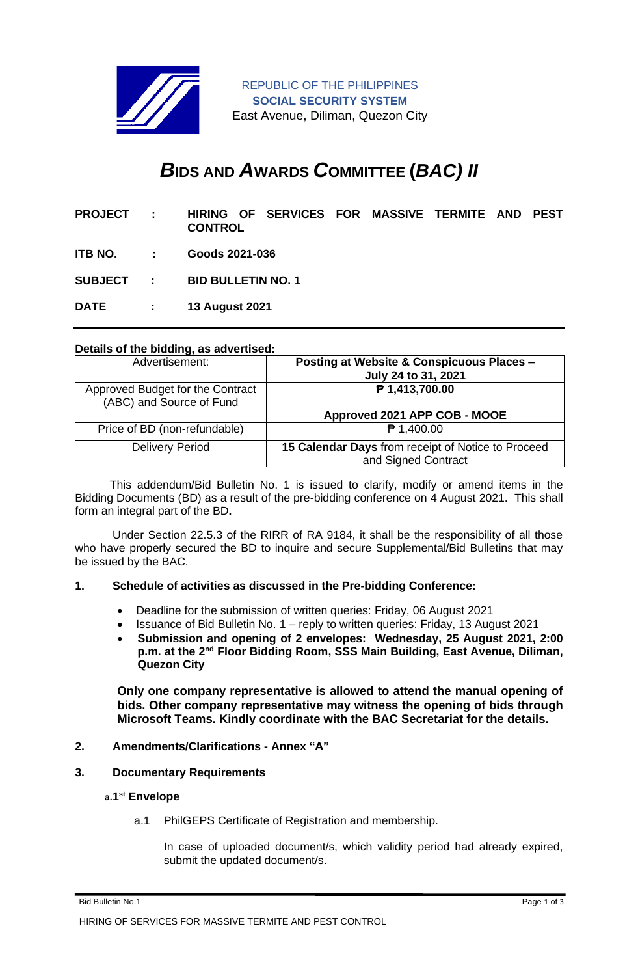

# *B***IDS AND** *A***WARDS** *C***OMMITTEE (***BAC) II*

| <b>PROJECT</b>   | $\sim 10$     | <b>CONTROL</b>            |  | HIRING OF SERVICES FOR MASSIVE TERMITE AND |  |  |  |  | <b>PEST</b> |
|------------------|---------------|---------------------------|--|--------------------------------------------|--|--|--|--|-------------|
| ITB NO.          | $\sim 1000$   | Goods 2021-036            |  |                                            |  |  |  |  |             |
| <b>SUBJECT :</b> |               | <b>BID BULLETIN NO. 1</b> |  |                                            |  |  |  |  |             |
| <b>DATE</b>      | $\sim$ $\sim$ | <b>13 August 2021</b>     |  |                                            |  |  |  |  |             |

## **Details of the bidding, as advertised:**

| Advertisement:                                               | <b>Posting at Website &amp; Conspicuous Places -</b><br>July 24 to 31, 2021 |
|--------------------------------------------------------------|-----------------------------------------------------------------------------|
| Approved Budget for the Contract<br>(ABC) and Source of Fund | ₱ 1,413,700.00<br>Approved 2021 APP COB - MOOE                              |
| Price of BD (non-refundable)                                 | $P$ 1,400.00                                                                |
|                                                              |                                                                             |
| <b>Delivery Period</b>                                       | 15 Calendar Days from receipt of Notice to Proceed                          |
|                                                              | and Signed Contract                                                         |

 This addendum/Bid Bulletin No. 1 is issued to clarify, modify or amend items in the Bidding Documents (BD) as a result of the pre-bidding conference on 4 August 2021. This shall form an integral part of the BD**.**

Under Section 22.5.3 of the RIRR of RA 9184, it shall be the responsibility of all those who have properly secured the BD to inquire and secure Supplemental/Bid Bulletins that may be issued by the BAC.

# **1. Schedule of activities as discussed in the Pre-bidding Conference:**

- Deadline for the submission of written queries: Friday, 06 August 2021
- Issuance of Bid Bulletin No. 1 reply to written queries: Friday, 13 August 2021
- **Submission and opening of 2 envelopes: Wednesday, 25 August 2021, 2:00**  p.m. at the 2<sup>nd</sup> Floor Bidding Room, SSS Main Building, East Avenue, Diliman, **Quezon City**

**Only one company representative is allowed to attend the manual opening of bids. Other company representative may witness the opening of bids through Microsoft Teams. Kindly coordinate with the BAC Secretariat for the details.**

#### **2. Amendments/Clarifications - Annex "A"**

#### **3. Documentary Requirements**

#### **a.1 st Envelope**

a.1 PhilGEPS Certificate of Registration and membership.

In case of uploaded document/s, which validity period had already expired, submit the updated document/s.

Bid Bulletin No.1 Page 1 of 3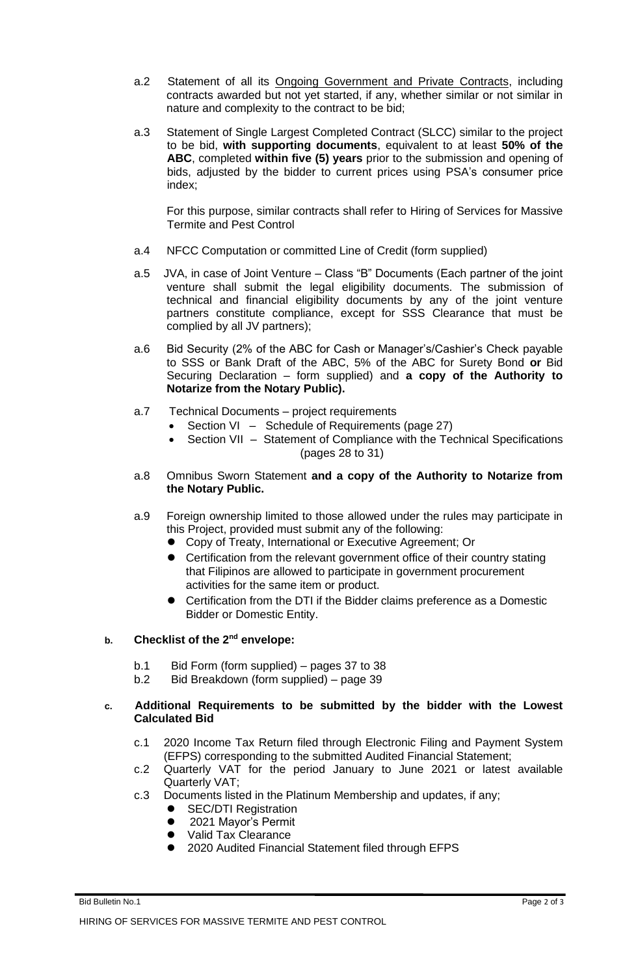- a.2 Statement of all its Ongoing Government and Private Contracts, including contracts awarded but not yet started, if any, whether similar or not similar in nature and complexity to the contract to be bid;
- a.3 Statement of Single Largest Completed Contract (SLCC) similar to the project to be bid, **with supporting documents**, equivalent to at least **50% of the ABC**, completed **within five (5) years** prior to the submission and opening of bids, adjusted by the bidder to current prices using PSA's consumer price index;

For this purpose, similar contracts shall refer to Hiring of Services for Massive Termite and Pest Control

- a.4 NFCC Computation or committed Line of Credit (form supplied)
- a.5 JVA, in case of Joint Venture Class "B" Documents (Each partner of the joint venture shall submit the legal eligibility documents. The submission of technical and financial eligibility documents by any of the joint venture partners constitute compliance, except for SSS Clearance that must be complied by all JV partners);
- a.6 Bid Security (2% of the ABC for Cash or Manager's/Cashier's Check payable to SSS or Bank Draft of the ABC, 5% of the ABC for Surety Bond **or** Bid Securing Declaration – form supplied) and **a copy of the Authority to Notarize from the Notary Public).**
- a.7 Technical Documents project requirements
	- Section VI Schedule of Requirements (page 27)
		- Section VII Statement of Compliance with the Technical Specifications (pages 28 to 31)
- a.8 Omnibus Sworn Statement **and a copy of the Authority to Notarize from the Notary Public.**
- a.9 Foreign ownership limited to those allowed under the rules may participate in this Project, provided must submit any of the following:
	- Copy of Treaty, International or Executive Agreement; Or
	- Certification from the relevant government office of their country stating that Filipinos are allowed to participate in government procurement activities for the same item or product.
	- Certification from the DTI if the Bidder claims preference as a Domestic Bidder or Domestic Entity.

# **b. Checklist of the 2nd envelope:**

- b.1 Bid Form (form supplied) pages 37 to 38
- b.2 Bid Breakdown (form supplied) page 39

### **c. Additional Requirements to be submitted by the bidder with the Lowest Calculated Bid**

- c.1 2020 Income Tax Return filed through Electronic Filing and Payment System (EFPS) corresponding to the submitted Audited Financial Statement;
- c.2 Quarterly VAT for the period January to June 2021 or latest available Quarterly VAT;
- c.3 Documents listed in the Platinum Membership and updates, if any;
	- **SEC/DTI Registration** 
		- 2021 Mayor's Permit
	- Valid Tax Clearance
	- 2020 Audited Financial Statement filed through EFPS

Bid Bulletin No.1 Page 2 of 3